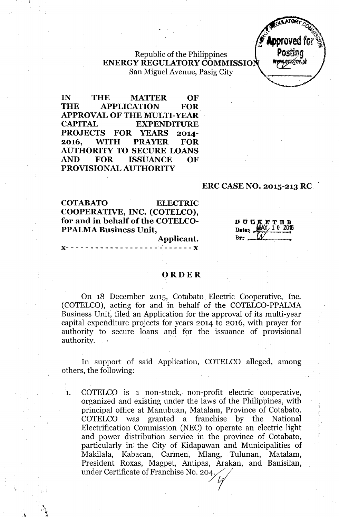Republic of the Philippines ENERGY REGULATORY COMMISSIO San Miguel Avenue, Pasig City



IN THE MATTER OF THE APPLICATION FOR APPROVAL OF THE MULTI-YEAR CAPITAL EXPENDITURE PROJECTS FOR YEARS 2014- 2016, WITH PRAYER FOR AUTHORITY TO SECURE LOANS AND FOR ISSUANCE OF PROVISIONAL AUTHORITY

### ERC CASE NO. 2015-213 RC

COTABATO ELECTRIC COOPERATIVE, INC. (COTELCO), for and in behalf of the COTELCO-PPALMA Business Unit,

)(- - - - - - \_.- - - - - - - - - - - \_.\_'~ - - - - -)(

Applicant.

<sup>D</sup> 00 .!tE. or <sup>E</sup> ])  $\text{Date:} \quad \frac{\text{MAX}}{\text{MAX}} \quad 1 \quad 0 \quad 2016$ **By: "'".\_ .\_...\_ ..\_.....•**

#### **ORDER**

On 18 December 2015, Cotabato. Electric Cooperative, Inc. (COTELCO), acting for and in behalf of the COTELCO-PPALMA Business Unit, filed an Application for the approval of its multi-year capital expenditure projects for years 2014 to 2016, with prayer for authority to secure loans and for the issuance of provisional authority.

In support of said Application, COTELCO alleged, among others, the following:

1. COTELCO is a non-stock, non-profit electric cooperative, organized and existing under the laws of the Philippines, with principal office at Manubuan, Matalam, Province of Cotabato. COTELCO was granted a franchise by the National Electrification Commission (NEC) to operate an electric light and power distribution service in the province of Cotabato, particularly in the City of Kidapawan and Municipalities of Makilala, Kabacan, Carmen, Mlang, Tulunan, Matalam, President Roxas, Magpet, Antipas, Arakan, and Banisilan, under Certificate of Franchise No. *20y('*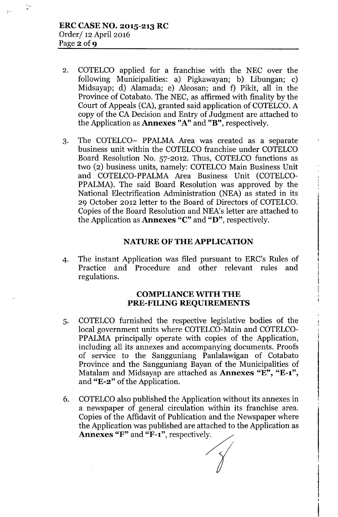$\ddot{\phantom{1}}$ 

÷,

- 2. COTELCO applied for a franchise with the NEC over the following Municipalities: a) Pigkawayan; b) Libungan; c) Midsayap; d) Alamada; e) Aleosan; and f) Pikit, all in the Province of Cotabato. The NEC, as affirmed with finality by the Court of Appeals (CA), granted said application of COTELCO. A copy of the CA Decision and Entry of Judgment are attached to the Application as Annexes "A" and "B", respectively.
- 3. The COTELCO- PPALMA Area was created as a separate business unit within the COTELCO franchise under COTELCO Board Resolution No. 57-2012. Thus, COTELCO functions as two (2) business units, namely: COTELCO Main Business Unit and COTELCO-PPALMA Area Business Unit (COTELCO-PPALMA). The said Board Resolution was approved by the National Electrification Administration (NEA) as stated in its 29 October 2012 letter to the Board of Directors of COTELCO. Copies of the Board Resolution and NEA's letter are attached to the Application as Annexes "C" and "D", respectively.

## NATURE OF THE APPLICATION

4. The instant Application was filed pursuant to ERC's Rules of Practice and Procedure and other relevant rules and regulations.

## COMPLIANCE WITH THE PRE-FILING REQUIREMENTS

- 5.COTELCO furnished the respective legislative bodies of the local government units where COTELCO-Main and COTELCO-PPALMA principally operate with copies of the Application, including all its annexes and accompanying documents. Proofs of service to the Sangguniang Panlalawigan of Cotabato Province and the Sangguniang Bayan of the Municipalities of Matalam and Midsayap are attached as **Annexes** "E", "E-1", and "E-2" of the Application.
- 6. COTELCOalso published the Application without its annexes in a newspaper of general circulation within its franchise area. Copies of the Affidavit of Publication and the Newspaper where the Application was published are attached to the Application as Annexes "F" and "F-1", respectively.

,

t

*. Y*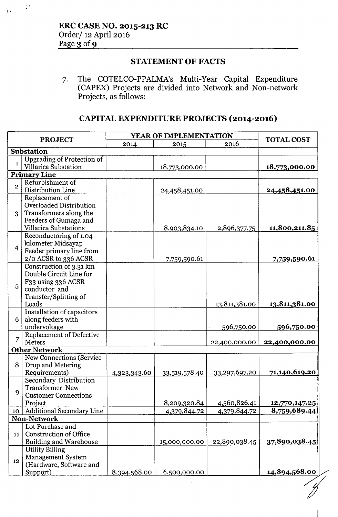.. .

 $\frac{1}{2}$  .

## STATEMENT OF FACTS

7. The COTELCO-PPALMA's Multi-Year Capital Expenditure (CAPEX) Projects are divided into Network and Non-network Projects, as follows:

# CAPITAL EXPENDITURE PROJECTS (2014-2016)

| <b>PROJECT</b>                 |                                           | YEAR OF IMPLEMENTATION |               |               |                       |  |  |
|--------------------------------|-------------------------------------------|------------------------|---------------|---------------|-----------------------|--|--|
|                                |                                           | 2014                   | 2015          | 2016          | <b>TOTAL COST</b>     |  |  |
| <b>Substation</b>              |                                           |                        |               |               |                       |  |  |
| $\mathbf{1}$                   | <b>Upgrading of Protection of</b>         |                        |               |               |                       |  |  |
|                                | Villarica Substation                      |                        | 18,773,000.00 |               | 18,773,000.00         |  |  |
|                                | <b>Primary Line</b>                       |                        |               |               |                       |  |  |
| $\overline{2}$                 | Refurbishment of<br>Distribution Line     |                        |               |               |                       |  |  |
| 3                              |                                           |                        | 24,458,451.00 |               | 24,458,451.00         |  |  |
|                                | Replacement of<br>Overloaded Distribution |                        |               |               |                       |  |  |
|                                | Transformers along the                    |                        |               |               |                       |  |  |
|                                | Feeders of Gumaga and                     |                        |               |               |                       |  |  |
|                                | <b>Villarica Substations</b>              |                        | 8,903,834.10  | 2,896,377.75  | 11,800,211.85         |  |  |
|                                | Reconductoring of 1.04                    |                        |               |               |                       |  |  |
|                                | kilometer Midsayap                        |                        |               |               |                       |  |  |
| $\overline{4}$                 | Feeder primary line from                  |                        |               |               |                       |  |  |
|                                | 2/0 ACSR to 336 ACSR                      |                        | 7,759,590.61  |               | 7,759,590.61          |  |  |
|                                | Construction of 3.31 km                   |                        |               |               |                       |  |  |
|                                | Double Circuit Line for                   |                        |               |               |                       |  |  |
|                                | F33 using 336 ACSR                        |                        |               |               |                       |  |  |
| 5                              | conductor and                             |                        |               |               |                       |  |  |
|                                | Transfer/Splitting of                     |                        |               |               |                       |  |  |
|                                | Loads                                     |                        |               | 13,811,381.00 | 13,811,381.00         |  |  |
|                                | Installation of capacitors                |                        |               |               |                       |  |  |
| 6                              | along feeders with                        |                        |               |               |                       |  |  |
|                                | undervoltage                              |                        |               | 596,750.00    | 596,750.00            |  |  |
| 7                              | Replacement of Defective                  |                        |               |               |                       |  |  |
| Meters<br><b>Other Network</b> |                                           |                        |               | 22,400,000.00 | 22,400,000.00         |  |  |
|                                | New Connections (Service                  |                        |               |               |                       |  |  |
| 8                              | Drop and Metering                         |                        |               |               |                       |  |  |
|                                | Requirements)                             | 4,323,343.60           | 33,519,578.40 | 33,297,697.20 | 71,140,619.20         |  |  |
|                                | <b>Secondary Distribution</b>             |                        |               |               |                       |  |  |
|                                | Transformer New                           |                        |               |               |                       |  |  |
| 9                              | <b>Customer Connections</b>               |                        |               |               |                       |  |  |
|                                | Project                                   |                        | 8,209,320.84  | 4,560,826.41  | 12,770,147.25         |  |  |
|                                | 10   Additional Secondary Line            |                        | 4,379,844.72  | 4,379,844.72  | 8,759,689.44          |  |  |
| <b>Non-Network</b>             |                                           |                        |               |               |                       |  |  |
| 11                             | Lot Purchase and                          |                        |               |               |                       |  |  |
|                                | <b>Construction of Office</b>             |                        |               |               |                       |  |  |
|                                | <b>Building and Warehouse</b>             |                        | 15,000,000.00 | 22,890,038.45 | <u>37,890,038.45 </u> |  |  |
| 12 <sub>2</sub>                | <b>Utility Billing</b>                    |                        |               |               |                       |  |  |
|                                | <b>Management System</b>                  |                        |               |               |                       |  |  |
|                                | (Hardware, Software and                   |                        |               |               |                       |  |  |
|                                | Support)                                  | 8,394,568.00           | 6,500,000.00  |               | 14,894,568.00         |  |  |

I)<br>I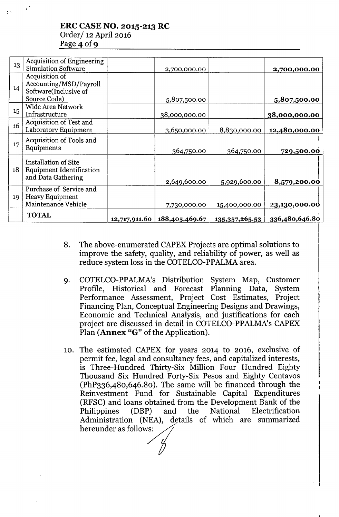# ERC CASE NO. 2015-213 RC Order/ 12 April 2016 Page 4 of 9

| 13 | <b>Acquisition of Engineering</b><br><b>Simulation Software</b>                   |               | 2,700,000.00   |                | 2,700,000.00   |
|----|-----------------------------------------------------------------------------------|---------------|----------------|----------------|----------------|
| 14 | Acquisition of<br>Accounting/MSD/Payroll<br>Software(Inclusive of<br>Source Code) |               | 5,807,500.00   |                | 5,807,500.00   |
| 15 | Wide Area Network<br>Infrastructure                                               |               | 38,000,000.00  |                | 38,000,000.00  |
| 16 | Acquisition of Test and<br>Laboratory Equipment                                   |               | 3,650,000.00   | 8,830,000.00   | 12,480,000.00  |
| 17 | Acquisition of Tools and<br>Equipments                                            |               | 364,750.00     | 364,750.00     | 729,500.00     |
| 18 | Installation of Site<br><b>Equipment Identification</b><br>and Data Gathering     |               | 2,649,600.00   | 5,929,600.00   | 8,579,200.00   |
| 19 | Purchase of Service and<br>Heavy Equipment<br>Maintenance Vehicle                 |               | 7,730,000.00   | 15,400,000.00  | 23,130,000.00  |
|    | <b>TOTAL</b>                                                                      | 12,717,911.60 | 188,405,469.67 | 135,357,265.53 | 336,480,646.80 |

- 8. The above-enumerated CAPEX Projects are optimal solutions to improve the safety, quality, and reliability of power, as well as reduce system loss in the COTELCO-PPALMA area.
- 9. COTELCO-PPALMA's Distribution System Map, Customer Profile, Historical and Forecast Planning Data, System Performance Assessment, Project Cost Estimates, Project Financing Plan, Conceptual Engineering Designs and Drawings, Economic and Technical Analysis, and justifications for each project are discussed in detail in COTELCO-PPALMA's CAPEX Plan (Annex "G" of the Application).
- 10. The estimated CAPEX for years 2014 to 2016, exclusive of permit fee, legal and consultancy fees, and capitalized interests, . is Three-Hundred Thirty-Six Million Four Hundred Eighty Thousand Six Hundred Forty-Six Pesos and Eighty Centavos (PhP336,480,646.80). The same will be financed through the Reinvestment Fund for Sustainable Capital Expenditures (RFSC) and loans obtained from the Development Bank of the Philippines (DBP) and the National Electrification Administration (NEA), details of which are summarized hereunder as follows: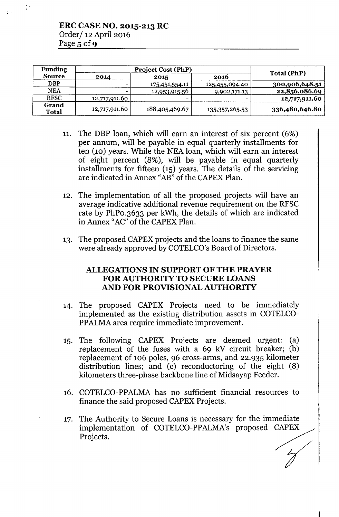| <b>Funding</b>        | <b>Project Cost (PhP)</b> |                       |                   |                |  |
|-----------------------|---------------------------|-----------------------|-------------------|----------------|--|
| <b>Source</b>         | 2014                      | 2015                  | 2016              | Total (PhP)    |  |
| <b>DBP</b>            | -                         | <u>175,451,554.11</u> | 125,455,094.40    | 300,906,648.51 |  |
| <b>NEA</b>            | $\overline{\phantom{0}}$  | 12,953,915.56         | 9,902,171.13      | 22,856,086.69  |  |
| <b>RFSC</b>           | 12,717,911.60             |                       |                   | 12,717,911.60  |  |
| Grand<br><b>Total</b> | 12,717,911.60             | 188,405,469.67        | 135, 357, 265. 53 | 336,480,646.80 |  |

- 11. The DBP loan, which will earn an interest of six percent (6%) per annum, will be payable in equal quarterly installments for ten (10) years. While the NEA loan, which will earn an interest of eight percent (8%), will be payable in equal quarterly installments for fifteen (15) years. The details of the servicing are indicated in Annex "AB" of the CAPEX Plan.
- 12. The implementation of all the proposed projects will have an average indicative additional revenue requirement on the RFSC rate by PhPO.3633 per kWh, the details of which are indicated in Annex "AC" of the CAPEX Plan.
- 13. The proposed CAPEX projects and the loans to finance the same were already approved by COTELCO's Board of Directors.

## ALLEGATIONS IN SUPPORT OF THE PRAYER FOR AUTHORITY TO SECURE LOANS AND FOR PROVISIONAL AUTHORITY

- 14. The proposed CAPEX Projects need to be immediately implemented as the existing distribution assets in COTELCO-PPALMA area require immediate improvement.
- 15. The following CAPEX Projects are deemed urgent: (a) replacement of the fuses with a 69 kV circuit breaker; (b) replacement of 106 poles, 96 cross-arms, and 22.935 kilometer distribution lines; and (c) reconductoring of the eight (8) kilometers three-phase backbone line of Midsayap Feeder.
- 16. COTELCO-PPALMA has no sufficient financial resources to finance the said proposed CAPEX Projects.
- 17. The Authority to Secure Loans is necessary for the immediat implementation of COTELCO-PPALMA's proposed CAPEX The Authority to Secure Loans is necessary for the immediate implementation of COTELCO-PPALMA's proposed CAPEX Projects.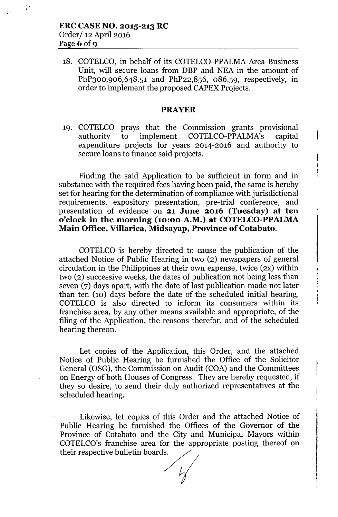18. COTELCO, in behalf of its COTELCO-PPALMA Area Business Unit, will secure loans from DBP and NEA in the amount of PhP300,906,648.51 and PhP22,856, 086.59, respectively, in order to implement the proposed CAPEX Projects.

### **PRAYER**

19. COTELCO prays that the Commission grants provisional authority to implement COTELCO-PPALMA's capital expenditure projects for years 2014-2016 and authority to secure loans to finance said projects.

Finding the said Application to be sufficient in form and in substance with the required fees having been paid, the same is hereby set for hearing for the determination of compliance with jurisdictional requirements, expository presentation, pre-trial conference, and presentation of evidence on **21 June 2016 (Tuesday) at ten o'clock in the morning (10:00 A.M.) at COTELCO-PPALMA Main Office, Villarica, Midsayap, Province of Cotabato.**

COTELCO is hereby directed to cause the publication of the attached Notice of Public Hearing in two (2) newspapers of general circulation in the Philippines at their own expense, twice  $(2x)$  within two (2) successive weeks, the dates of publication not being less than seven (7) days apart, with the date of last publication made not later than ten (10) days before the date of the scheduled initial hearing. COTELCO is also directed to inform its consumers within its franchise area, by any other means available and appropriate, of the filing of the Application, the reasons therefor, and of the scheduled hearing thereon.

Let copies of the Application, this Order, and the attached Notice of Public Hearing be furnished the Office of the Solicitor General (OSG), the Commission on Audit (COA) and the Committees on Energy of both Houses of Congress. They are hereby requested, if they so desire, to send their duly authorized representatives at the scheduled hearing.

Likewise, let copies of this Order and the attached Notice of Public Hearing be furnished the Offices of the Governor of the Province of Cotabato and the City and Municipal Mayors within COTELCQ's franchise area for the appropriate posting thereof on their respective bulletin boards.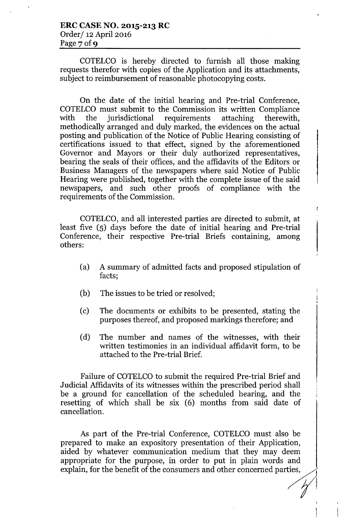COTELCO is hereby directed to furnish all those making requests therefor with copies of the Application and its attachments, subject to reimbursement of reasonable photocopying costs.

On the date of the initial hearing and Pre-trial Conference, COTELCO must submit to the Commission its written Compliance with the jurisdictional requirements attaching therewith, methodically arranged and duly marked, the evidences on the actual posting and publication of the Notice of Public Hearing consisting of certifications issued to that effect, signed by the aforementioned Governor and Mayors or their duly authorized representatives, bearing the seals of their offices, and the affidavits of the Editors or Business Managers of the newspapers where said Notice of Public Hearing were published, together with the complete issue of the said newspapers, and such other proofs of compliance with the requirements of the Commission.

COTELCO, and all interested parties are directed to submit, at least five (5) days before the date of initial hearing and Pre-trial Conference, their respective Pre-trial Briefs containing, among others:

- (a) A summary of admitted facts and proposed stipulation of facts;
- (b) The issues to be tried or resolved;
- (c) The documents or exhibits to be presented, stating the purposes thereof, and proposed markings therefore; and
- (d) The number and names of the witnesses, with their written testimonies in an individual affidavit form, to be attached to the Pre-trial Brief.

Failure of COTELCO to submit the required Pre-trial Brief and Judicial Affidavits of its witnesses within the prescribed period shall be a ground for cancellation of the scheduled hearing, and the resetting of which shall be six (6) months from said date of cancellation.

As part of the Pre-trial Conference, COTELCO must also be prepared to make an expository presentation of their Application, aided by whatever communication medium that they may deem appropriate for the purpose, in order to put in plain words and explain, for the benefit of the consumers and other concerned parties,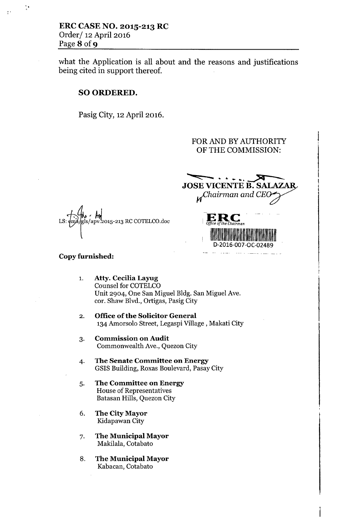..,

what the Application is all about and the reasons and justifications being cited in support thereof.

## SO ORDERED.

Pasig City, 12April 2016.

## FOR AND BY AUTHORITY OF THE COMMISSION:

**<sup>~</sup> <:::::: "'- -. •. •.. ••• <sup>~</sup> JOSE VICENTE B. SALAZAR** *~hairman andCE'l* **ERC** 

<sup>I</sup> *Office of the Chairman*

D-2016-007-0C-02489

<u>and product</u> and the second state of the second state of the second state of the second state of the second state of the second state of the second state of the second state of the second state of the second state of the

**III** 



#### Copy furnished:

- 1. Atty. Cecilia Layug Counsel for COTELCO Unit 2904, One San Miguel Bldg. San Miguel Ave. cor. Shaw Blvd., Ortigas, Pasig City
- 2. Office of the Solicitor General 134 Amorsolo Street, Legaspi Village, Makati City
- 3. Commission on Audit Commonwealth Ave., Quezon City
- 4. The Senate Committee on Energy GSIS Building, Roxas Boulevard, Pasay City
- 5. The Committee on Energy House of Representatives Batasan Hills, Quezon City
- 6. The City Mayor Kidapawan City
- 7. The Municipal Mayor Makilala, Cotabato
- 8. The Municipal Mayor Kabacan, Cotabato